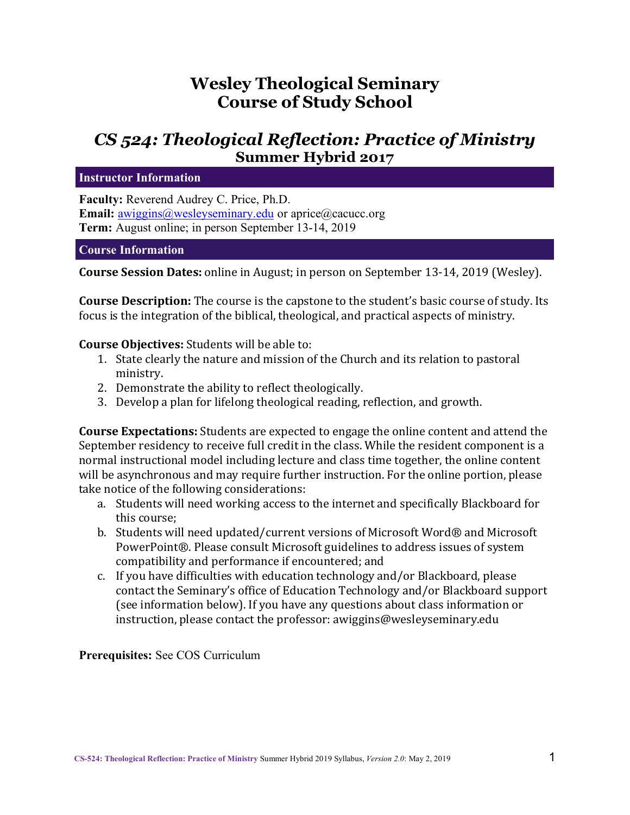# **Wesley Theological Seminary Course of Study School**

# *CS 524: Theological Reflection: Practice of Ministry* **Summer Hybrid 2017**

**Instructor Information**

**Faculty:** Reverend Audrey C. Price, Ph.D. **Email:** awiggins@wesleyseminary.edu or aprice@cacucc.org **Term:** August online; in person September 13-14, 2019

#### **Course Information**

**Course Session Dates:** online in August; in person on September 13-14, 2019 (Wesley).

**Course Description:** The course is the capstone to the student's basic course of study. Its focus is the integration of the biblical, theological, and practical aspects of ministry.

#### **Course Objectives:** Students will be able to:

- 1. State clearly the nature and mission of the Church and its relation to pastoral ministry.
- 2. Demonstrate the ability to reflect theologically.
- 3. Develop a plan for lifelong theological reading, reflection, and growth.

**Course Expectations:** Students are expected to engage the online content and attend the September residency to receive full credit in the class. While the resident component is a normal instructional model including lecture and class time together, the online content will be asynchronous and may require further instruction. For the online portion, please take notice of the following considerations:

- a. Students will need working access to the internet and specifically Blackboard for this course:
- b. Students will need updated/current versions of Microsoft Word® and Microsoft PowerPoint®. Please consult Microsoft guidelines to address issues of system compatibility and performance if encountered; and
- c. If you have difficulties with education technology and/or Blackboard, please contact the Seminary's office of Education Technology and/or Blackboard support (see information below). If you have any questions about class information or instruction, please contact the professor: awiggins@wesleyseminary.edu

**Prerequisites:** See COS Curriculum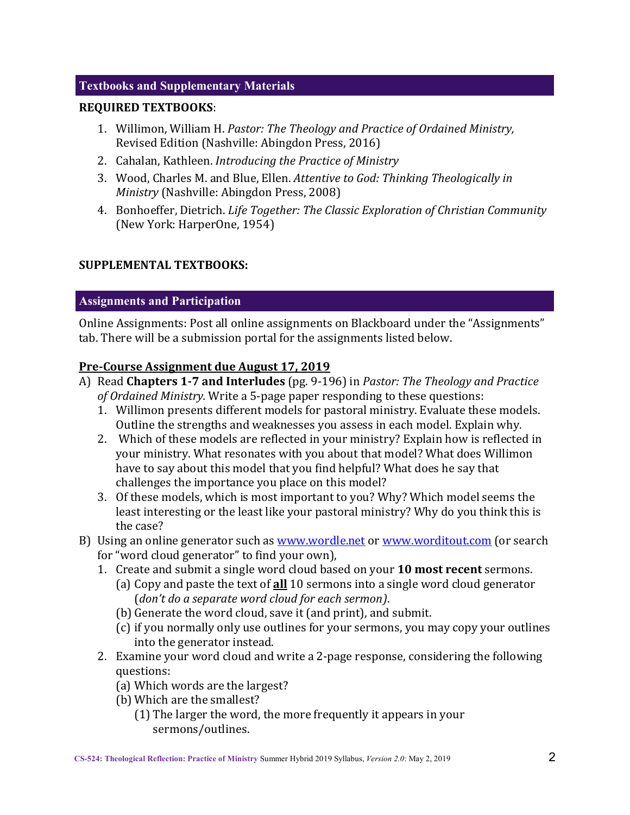# **Textbooks and Supplementary Materials**

#### **REQUIRED TEXTBOOKS**:

- 1. Willimon, William H. Pastor: The Theology and Practice of Ordained Ministry, Revised Edition (Nashville: Abingdon Press, 2016)
- 2. Cahalan, Kathleen. *Introducing the Practice of Ministrv*
- 3. Wood, Charles M. and Blue, Ellen. *Attentive to God: Thinking Theologically in Ministry* (Nashville: Abingdon Press, 2008)
- 4. Bonhoeffer, Dietrich. *Life Together: The Classic Exploration of Christian Community* (New York: HarperOne, 1954)

# **SUPPLEMENTAL TEXTBOOKS:**

#### **Assignments and Participation**

Online Assignments: Post all online assignments on Blackboard under the "Assignments" tab. There will be a submission portal for the assignments listed below.

#### **Pre-Course Assignment due August 17, 2019**

- A) Read **Chapters 1-7 and Interludes** (pg. 9-196) in *Pastor: The Theology and Practice of Ordained Ministry.* Write a 5-page paper responding to these questions:
	- 1. Willimon presents different models for pastoral ministry. Evaluate these models. Outline the strengths and weaknesses you assess in each model. Explain why.
	- 2. Which of these models are reflected in your ministry? Explain how is reflected in your ministry. What resonates with you about that model? What does Willimon have to say about this model that you find helpful? What does he say that challenges the importance you place on this model?
	- 3. Of these models, which is most important to you? Why? Which model seems the least interesting or the least like your pastoral ministry? Why do you think this is the case?
- B) Using an online generator such as www.wordle.net or www.worditout.com (or search for "word cloud generator" to find your own),
	- 1. Create and submit a single word cloud based on your **10 most recent** sermons.
		- (a) Copy and paste the text of **all** 10 sermons into a single word cloud generator (*don't do a separate word cloud for each sermon*).
		- (b) Generate the word cloud, save it (and print), and submit.
		- (c) if you normally only use outlines for your sermons, you may copy your outlines into the generator instead.
	- 2. Examine your word cloud and write a 2-page response, considering the following questions:
		- (a) Which words are the largest?
		- (b) Which are the smallest?
			- $(1)$  The larger the word, the more frequently it appears in your sermons/outlines.